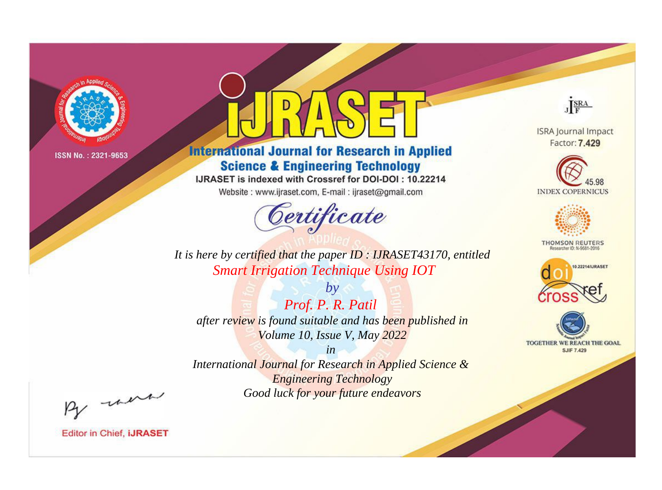

# **International Journal for Research in Applied Science & Engineering Technology**

IJRASET is indexed with Crossref for DOI-DOI: 10.22214

Website: www.ijraset.com, E-mail: ijraset@gmail.com



JERA

**ISRA Journal Impact** Factor: 7.429





**THOMSON REUTERS** 



TOGETHER WE REACH THE GOAL **SJIF 7.429** 

*It is here by certified that the paper ID : IJRASET43170, entitled Smart Irrigation Technique Using IOT*

*Prof. P. R. Patil after review is found suitable and has been published in Volume 10, Issue V, May 2022*

*by*

*in* 

*International Journal for Research in Applied Science & Engineering Technology Good luck for your future endeavors*

By morn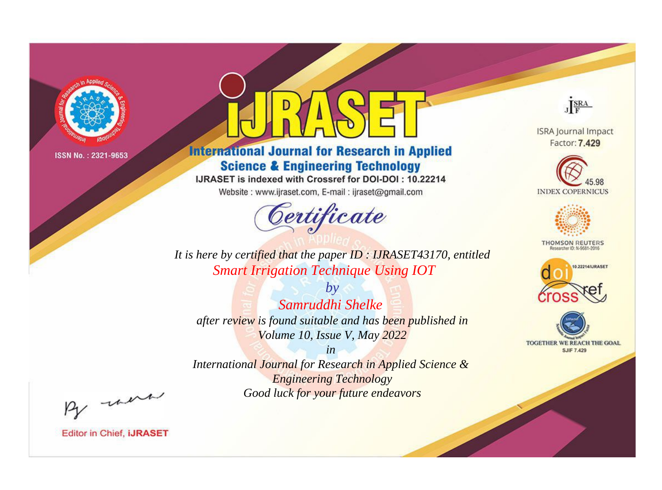

# **International Journal for Research in Applied Science & Engineering Technology**

IJRASET is indexed with Crossref for DOI-DOI: 10.22214

Website: www.ijraset.com, E-mail: ijraset@gmail.com



JERA

**ISRA Journal Impact** Factor: 7.429





**THOMSON REUTERS** 



TOGETHER WE REACH THE GOAL **SJIF 7.429** 

It is here by certified that the paper ID: IJRASET43170, entitled **Smart Irrigation Technique Using IOT** 

 $b\nu$ Samruddhi Shelke after review is found suitable and has been published in Volume 10, Issue V, May 2022

 $in$ International Journal for Research in Applied Science & **Engineering Technology** Good luck for your future endeavors

By morn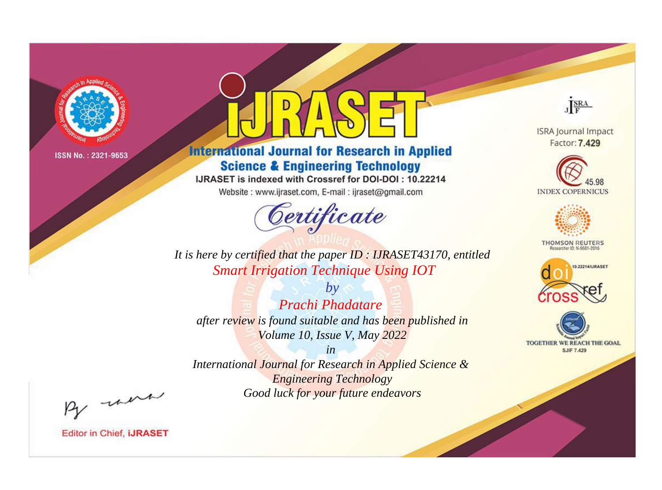

# **International Journal for Research in Applied Science & Engineering Technology**

IJRASET is indexed with Crossref for DOI-DOI: 10.22214

Website: www.ijraset.com, E-mail: ijraset@gmail.com



JERA

**ISRA Journal Impact** Factor: 7.429





**THOMSON REUTERS** 



TOGETHER WE REACH THE GOAL **SJIF 7.429** 

It is here by certified that the paper ID: IJRASET43170, entitled **Smart Irrigation Technique Using IOT** 

 $b\nu$ **Prachi Phadatare** after review is found suitable and has been published in Volume 10, Issue V, May 2022

 $in$ International Journal for Research in Applied Science & **Engineering Technology** Good luck for your future endeavors

By morn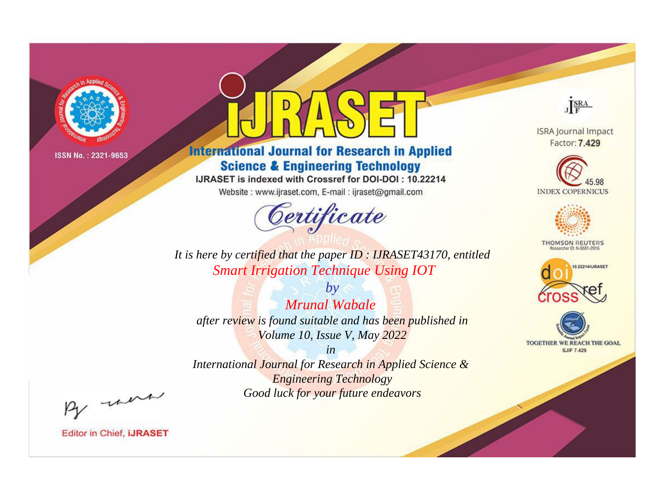

# **International Journal for Research in Applied Science & Engineering Technology**

IJRASET is indexed with Crossref for DOI-DOI: 10.22214

Website: www.ijraset.com, E-mail: ijraset@gmail.com



JERA

**ISRA Journal Impact** Factor: 7.429





**THOMSON REUTERS** 



TOGETHER WE REACH THE GOAL **SJIF 7.429** 

*It is here by certified that the paper ID : IJRASET43170, entitled Smart Irrigation Technique Using IOT*

*by Mrunal Wabale after review is found suitable and has been published in Volume 10, Issue V, May 2022*

*in* 

*International Journal for Research in Applied Science & Engineering Technology Good luck for your future endeavors*

By morn